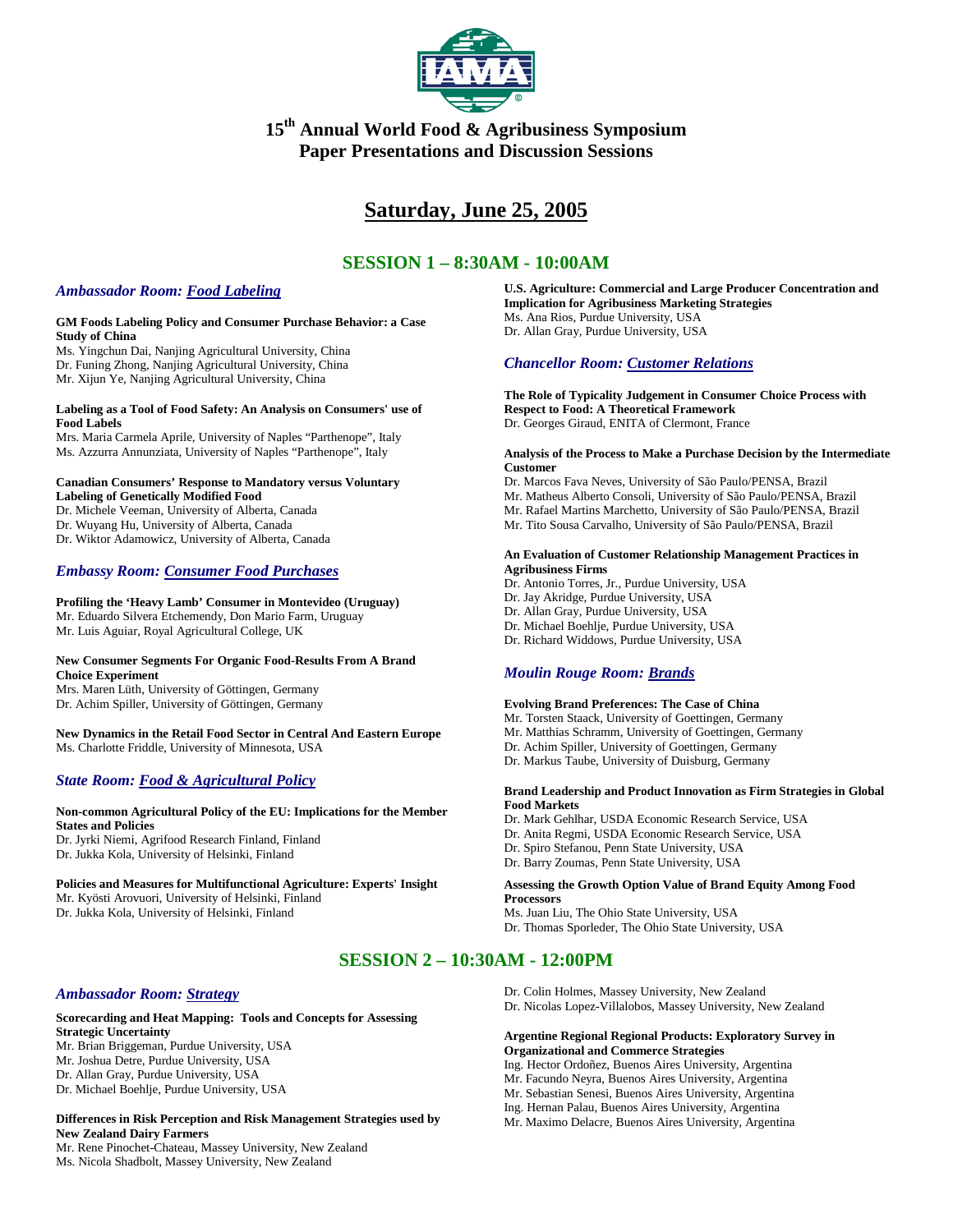

# **15th Annual World Food & Agribusiness Symposium Paper Presentations and Discussion Sessions**

# **Saturday, June 25, 2005**

# **SESSION 1 – 8:30AM - 10:00AM**

# *Ambassador Room: Food Labeling*

#### **GM Foods Labeling Policy and Consumer Purchase Behavior: a Case Study of China**

Ms. Yingchun Dai, Nanjing Agricultural University, China Dr. Funing Zhong, Nanjing Agricultural University, China Mr. Xijun Ye, Nanjing Agricultural University, China

#### **Labeling as a Tool of Food Safety: An Analysis on Consumers' use of Food Labels**

Mrs. Maria Carmela Aprile, University of Naples "Parthenope", Italy Ms. Azzurra Annunziata, University of Naples "Parthenope", Italy

#### **Canadian Consumers' Response to Mandatory versus Voluntary Labeling of Genetically Modified Food**

Dr. Michele Veeman, University of Alberta, Canada Dr. Wuyang Hu, University of Alberta, Canada Dr. Wiktor Adamowicz, University of Alberta, Canada

# *Embassy Room: Consumer Food Purchases*

**Profiling the 'Heavy Lamb' Consumer in Montevideo (Uruguay)** Mr. Eduardo Silvera Etchemendy, Don Mario Farm, Uruguay Mr. Luis Aguiar, Royal Agricultural College, UK

## **New Consumer Segments For Organic Food-Results From A Brand Choice Experiment**

Mrs. Maren Lüth, University of Göttingen, Germany Dr. Achim Spiller, University of Göttingen, Germany

**New Dynamics in the Retail Food Sector in Central And Eastern Europe** Ms. Charlotte Friddle, University of Minnesota, USA

# *State Room: Food & Agricultural Policy*

#### **Non-common Agricultural Policy of the EU: Implications for the Member States and Policies** Dr. Jyrki Niemi, Agrifood Research Finland, Finland Dr. Jukka Kola, University of Helsinki, Finland

**Policies and Measures for Multifunctional Agriculture: Experts' Insight** Mr. Kyösti Arovuori, University of Helsinki, Finland Dr. Jukka Kola, University of Helsinki, Finland

# *Ambassador Room: Strategy*

#### **Scorecarding and Heat Mapping: Tools and Concepts for Assessing Strategic Uncertainty** Mr. Brian Briggeman, Purdue University, USA

Mr. Joshua Detre, Purdue University, USA Dr. Allan Gray, Purdue University, USA Dr. Michael Boehlje, Purdue University, USA

**Differences in Risk Perception and Risk Management Strategies used by New Zealand Dairy Farmers**

Mr. Rene Pinochet-Chateau, Massey University, New Zealand Ms. Nicola Shadbolt, Massey University, New Zealand

**U.S. Agriculture: Commercial and Large Producer Concentration and Implication for Agribusiness Marketing Strategies** Ms. Ana Rios, Purdue University, USA Dr. Allan Gray, Purdue University, USA

# *Chancellor Room: Customer Relations*

**The Role of Typicality Judgement in Consumer Choice Process with Respect to Food: A Theoretical Framework** Dr. Georges Giraud, ENITA of Clermont, France

#### **Analysis of the Process to Make a Purchase Decision by the Intermediate Customer**

Dr. Marcos Fava Neves, University of São Paulo/PENSA, Brazil Mr. Matheus Alberto Consoli, University of São Paulo/PENSA, Brazil Mr. Rafael Martins Marchetto, University of São Paulo/PENSA, Brazil

Mr. Tito Sousa Carvalho, University of São Paulo/PENSA, Brazil

#### **An Evaluation of Customer Relationship Management Practices in Agribusiness Firms**

Dr. Antonio Torres, Jr., Purdue University, USA Dr. Jay Akridge, Purdue University, USA Dr. Allan Gray, Purdue University, USA Dr. Michael Boehlje, Purdue University, USA Dr. Richard Widdows, Purdue University, USA

# *Moulin Rouge Room: Brands*

## **Evolving Brand Preferences: The Case of China**

Mr. Torsten Staack, University of Goettingen, Germany Mr. Matthias Schramm, University of Goettingen, Germany Dr. Achim Spiller, University of Goettingen, Germany Dr. Markus Taube, University of Duisburg, Germany

#### **Brand Leadership and Product Innovation as Firm Strategies in Global Food Markets**

Dr. Mark Gehlhar, USDA Economic Research Service, USA Dr. Anita Regmi, USDA Economic Research Service, USA Dr. Spiro Stefanou, Penn State University, USA Dr. Barry Zoumas, Penn State University, USA

#### **Assessing the Growth Option Value of Brand Equity Among Food Processors**

Ms. Juan Liu, The Ohio State University, USA Dr. Thomas Sporleder, The Ohio State University, USA

# **SESSION 2 – 10:30AM - 12:00PM**

Dr. Colin Holmes, Massey University, New Zealand Dr. Nicolas Lopez-Villalobos, Massey University, New Zealand

### **Argentine Regional Regional Products: Exploratory Survey in Organizational and Commerce Strategies**

Ing. Hector Ordoñez, Buenos Aires University, Argentina

Mr. Facundo Neyra, Buenos Aires University, Argentina

Mr. Sebastian Senesi, Buenos Aires University, Argentina

Ing. Hernan Palau, Buenos Aires University, Argentina Mr. Maximo Delacre, Buenos Aires University, Argentina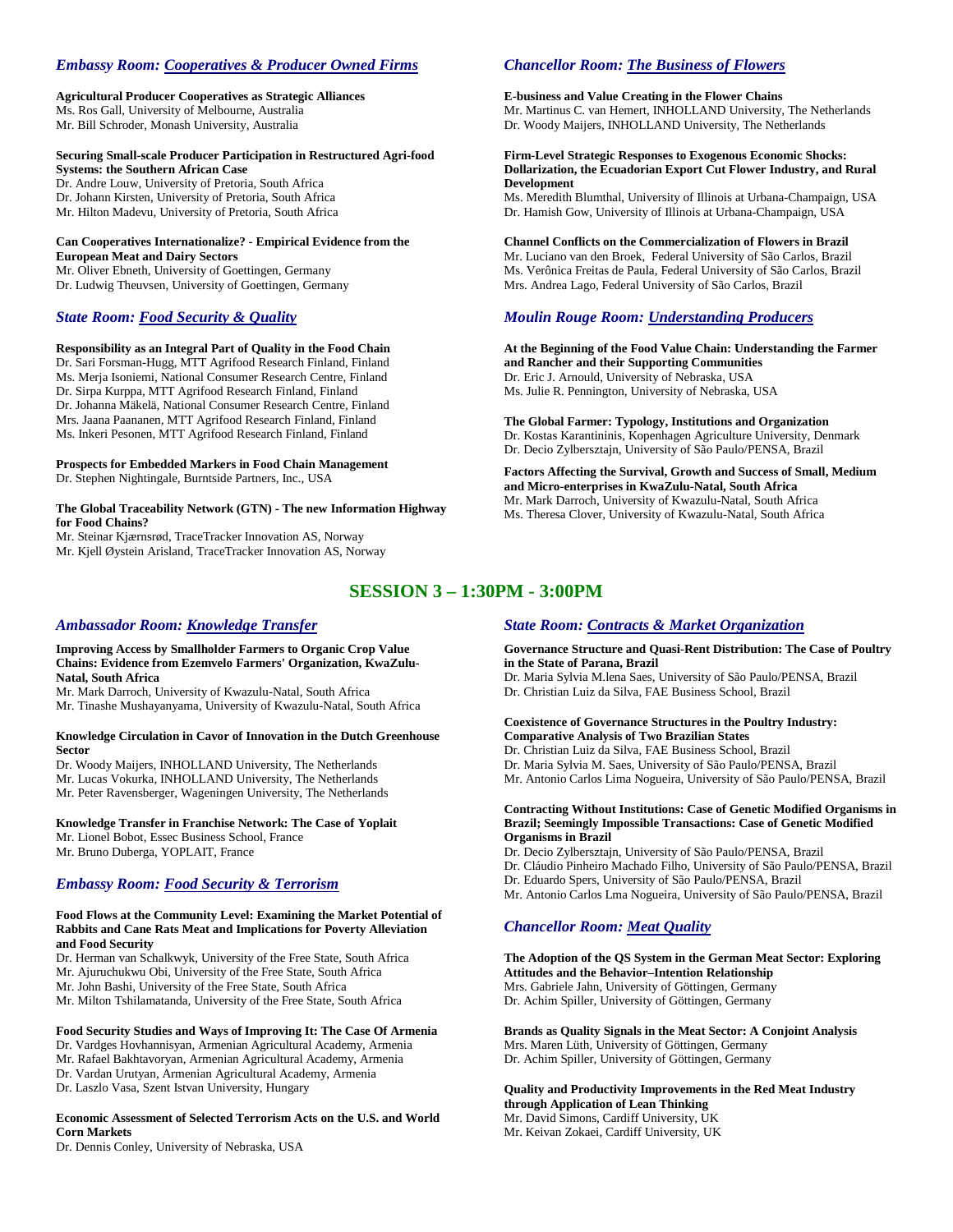# *Embassy Room: Cooperatives & Producer Owned Firms*

**Agricultural Producer Cooperatives as Strategic Alliances** Ms. Ros Gall, University of Melbourne, Australia Mr. Bill Schroder, Monash University, Australia

#### **Securing Small-scale Producer Participation in Restructured Agri-food Systems: the Southern African Case**

Dr. Andre Louw, University of Pretoria, South Africa Dr. Johann Kirsten, University of Pretoria, South Africa Mr. Hilton Madevu, University of Pretoria, South Africa

#### **Can Cooperatives Internationalize? - Empirical Evidence from the European Meat and Dairy Sectors**

Mr. Oliver Ebneth, University of Goettingen, Germany Dr. Ludwig Theuvsen, University of Goettingen, Germany

# *State Room: Food Security & Quality*

#### **Responsibility as an Integral Part of Quality in the Food Chain**

Dr. Sari Forsman-Hugg, MTT Agrifood Research Finland, Finland Ms. Merja Isoniemi, National Consumer Research Centre, Finland Dr. Sirpa Kurppa, MTT Agrifood Research Finland, Finland Dr. Johanna Mäkelä, National Consumer Research Centre, Finland Mrs. Jaana Paananen, MTT Agrifood Research Finland, Finland Ms. Inkeri Pesonen, MTT Agrifood Research Finland, Finland

**Prospects for Embedded Markers in Food Chain Management** Dr. Stephen Nightingale, Burntside Partners, Inc., USA

#### **The Global Traceability Network (GTN) - The new Information Highway for Food Chains?**

Mr. Steinar Kjærnsrød, TraceTracker Innovation AS, Norway Mr. Kjell Øystein Arisland, TraceTracker Innovation AS, Norway

# *Chancellor Room: The Business of Flowers*

### **E-business and Value Creating in the Flower Chains**

Mr. Martinus C. van Hemert, INHOLLAND University, The Netherlands Dr. Woody Maijers, INHOLLAND University, The Netherlands

#### **Firm-Level Strategic Responses to Exogenous Economic Shocks: Dollarization, the Ecuadorian Export Cut Flower Industry, and Rural Development**

Ms. Meredith Blumthal, University of Illinois at Urbana-Champaign, USA Dr. Hamish Gow, University of Illinois at Urbana-Champaign, USA

**Channel Conflicts on the Commercialization of Flowers in Brazil** Mr. Luciano van den Broek, Federal University of São Carlos, Brazil Ms. Verônica Freitas de Paula, Federal University of São Carlos, Brazil Mrs. Andrea Lago, Federal University of São Carlos, Brazil

# *Moulin Rouge Room: Understanding Producers*

**At the Beginning of the Food Value Chain: Understanding the Farmer and Rancher and their Supporting Communities** Dr. Eric J. Arnould, University of Nebraska, USA Ms. Julie R. Pennington, University of Nebraska, USA

**The Global Farmer: Typology, Institutions and Organization** Dr. Kostas Karantininis, Kopenhagen Agriculture University, Denmark Dr. Decio Zylbersztajn, University of São Paulo/PENSA, Brazil

**Factors Affecting the Survival, Growth and Success of Small, Medium and Micro-enterprises in KwaZulu-Natal, South Africa** Mr. Mark Darroch, University of Kwazulu-Natal, South Africa Ms. Theresa Clover, University of Kwazulu-Natal, South Africa

# **SESSION 3 – 1:30PM - 3:00PM**

## *Ambassador Room: Knowledge Transfer*

**Improving Access by Smallholder Farmers to Organic Crop Value Chains: Evidence from Ezemvelo Farmers' Organization, KwaZulu-Natal, South Africa**

Mr. Mark Darroch, University of Kwazulu-Natal, South Africa Mr. Tinashe Mushayanyama, University of Kwazulu-Natal, South Africa

#### **Knowledge Circulation in Cavor of Innovation in the Dutch Greenhouse Sector**

Dr. Woody Maijers, INHOLLAND University, The Netherlands Mr. Lucas Vokurka, INHOLLAND University, The Netherlands Mr. Peter Ravensberger, Wageningen University, The Netherlands

#### **Knowledge Transfer in Franchise Network: The Case of Yoplait**

Mr. Lionel Bobot, Essec Business School, France Mr. Bruno Duberga, YOPLAIT, France

# *Embassy Room: Food Security & Terrorism*

# **Food Flows at the Community Level: Examining the Market Potential of Rabbits and Cane Rats Meat and Implications for Poverty Alleviation**

- **and Food Security** Dr. Herman van Schalkwyk, University of the Free State, South Africa
- Mr. Ajuruchukwu Obi, University of the Free State, South Africa
- Mr. John Bashi, University of the Free State, South Africa
- Mr. Milton Tshilamatanda, University of the Free State, South Africa

#### **Food Security Studies and Ways of Improving It: The Case Of Armenia**

Dr. Vardges Hovhannisyan, Armenian Agricultural Academy, Armenia Mr. Rafael Bakhtavoryan, Armenian Agricultural Academy, Armenia Dr. Vardan Urutyan, Armenian Agricultural Academy, Armenia

Dr. Laszlo Vasa, Szent Istvan University, Hungary

#### **Economic Assessment of Selected Terrorism Acts on the U.S. and World Corn Markets**

Dr. Dennis Conley, University of Nebraska, USA

# *State Room: Contracts & Market Organization*

#### **Governance Structure and Quasi-Rent Distribution: The Case of Poultry in the State of Parana, Brazil**

Dr. Maria Sylvia M.lena Saes, University of São Paulo/PENSA, Brazil Dr. Christian Luiz da Silva, FAE Business School, Brazil

#### **Coexistence of Governance Structures in the Poultry Industry: Comparative Analysis of Two Brazilian States**

Dr. Christian Luiz da Silva, FAE Business School, Brazil Dr. Maria Sylvia M. Saes, University of São Paulo/PENSA, Brazil Mr. Antonio Carlos Lima Nogueira, University of São Paulo/PENSA, Brazil

#### **Contracting Without Institutions: Case of Genetic Modified Organisms in Brazil; Seemingly Impossible Transactions: Case of Genetic Modified Organisms in Brazil**

Dr. Decio Zylbersztajn, University of São Paulo/PENSA, Brazil

- Dr. Cláudio Pinheiro Machado Filho, University of São Paulo/PENSA, Brazil
- Dr. Eduardo Spers, University of São Paulo/PENSA, Brazil
- Mr. Antonio Carlos Lma Nogueira, University of São Paulo/PENSA, Brazil

# *Chancellor Room: Meat Quality*

#### **The Adoption of the QS System in the German Meat Sector: Exploring Attitudes and the Behavior–Intention Relationship** Mrs. Gabriele Jahn, University of Göttingen, Germany Dr. Achim Spiller, University of Göttingen, Germany

**Brands as Quality Signals in the Meat Sector: A Conjoint Analysis** Mrs. Maren Lüth, University of Göttingen, Germany Dr. Achim Spiller, University of Göttingen, Germany

**Quality and Productivity Improvements in the Red Meat Industry through Application of Lean Thinking** Mr. David Simons, Cardiff University, UK

Mr. Keivan Zokaei, Cardiff University, UK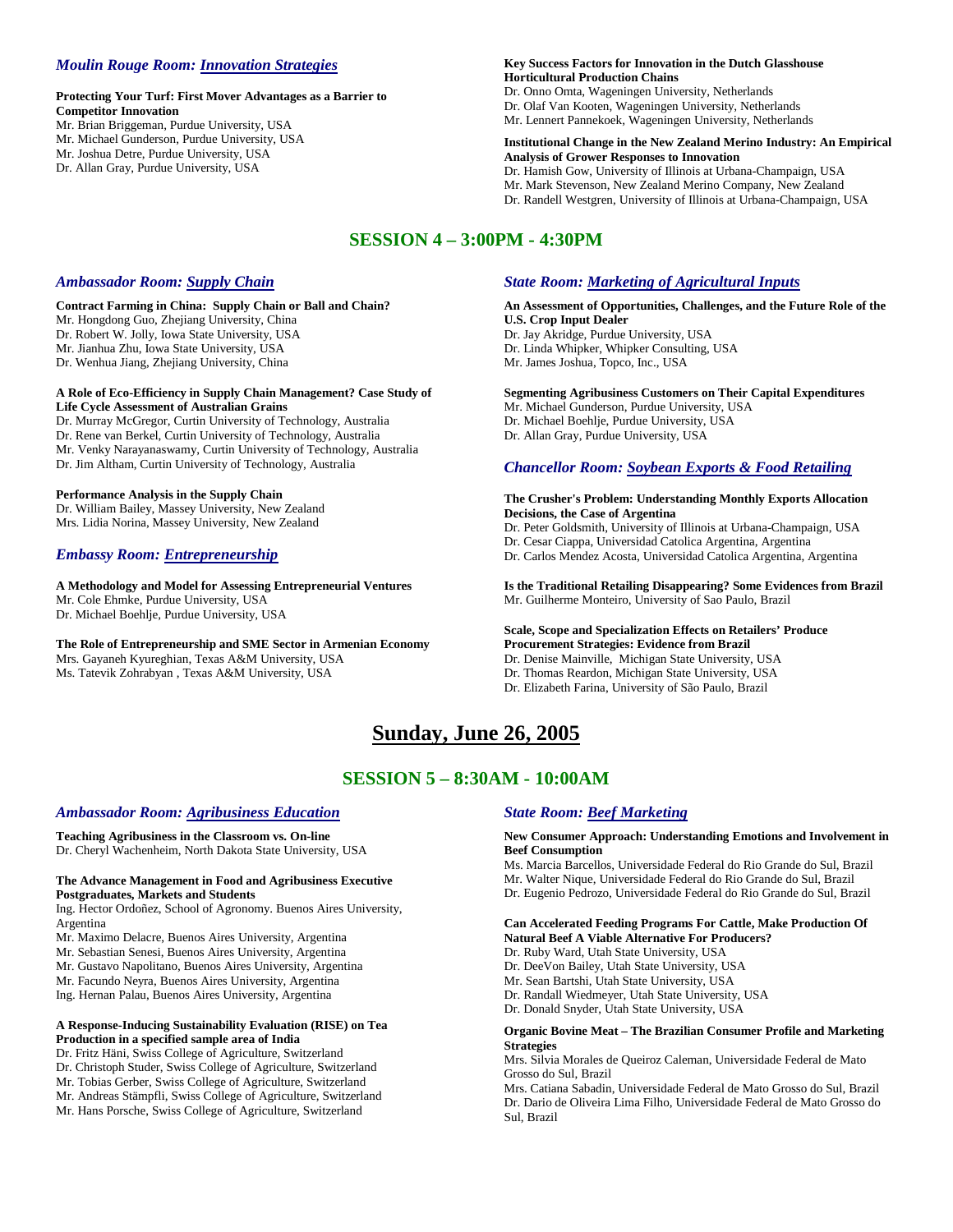# *Moulin Rouge Room: Innovation Strategies*

### **Protecting Your Turf: First Mover Advantages as a Barrier to Competitor Innovation**

- Mr. Brian Briggeman, Purdue University, USA
- Mr. Michael Gunderson, Purdue University, USA Mr. Joshua Detre, Purdue University, USA
- Dr. Allan Gray, Purdue University, USA

#### **Key Success Factors for Innovation in the Dutch Glasshouse Horticultural Production Chains**

Dr. Onno Omta, Wageningen University, Netherlands Dr. Olaf Van Kooten, Wageningen University, Netherlands Mr. Lennert Pannekoek, Wageningen University, Netherlands

#### **Institutional Change in the New Zealand Merino Industry: An Empirical Analysis of Grower Responses to Innovation**

Dr. Hamish Gow, University of Illinois at Urbana-Champaign, USA Mr. Mark Stevenson, New Zealand Merino Company, New Zealand Dr. Randell Westgren, University of Illinois at Urbana-Champaign, USA

# **SESSION 4 – 3:00PM - 4:30PM**

# *Ambassador Room: Supply Chain*

#### **Contract Farming in China: Supply Chain or Ball and Chain?** Mr. Hongdong Guo, Zhejiang University, China Dr. Robert W. Jolly, Iowa State University, USA Mr. Jianhua Zhu, Iowa State University, USA Dr. Wenhua Jiang, Zhejiang University, China

#### **A Role of Eco-Efficiency in Supply Chain Management? Case Study of Life Cycle Assessment of Australian Grains**

Dr. Murray McGregor, Curtin University of Technology, Australia Dr. Rene van Berkel, Curtin University of Technology, Australia Mr. Venky Narayanaswamy, Curtin University of Technology, Australia Dr. Jim Altham, Curtin University of Technology, Australia

#### **Performance Analysis in the Supply Chain**

Dr. William Bailey, Massey University, New Zealand Mrs. Lidia Norina, Massey University, New Zealand

# *Embassy Room: Entrepreneurship*

**A Methodology and Model for Assessing Entrepreneurial Ventures** Mr. Cole Ehmke, Purdue University, USA Dr. Michael Boehlje, Purdue University, USA

**The Role of Entrepreneurship and SME Sector in Armenian Economy**  Mrs. Gayaneh Kyureghian, Texas A&M University, USA Ms. Tatevik Zohrabyan , Texas A&M University, USA

# *State Room: Marketing of Agricultural Inputs*

## **An Assessment of Opportunities, Challenges, and the Future Role of the U.S. Crop Input Dealer**

Dr. Jay Akridge, Purdue University, USA Dr. Linda Whipker, Whipker Consulting, USA Mr. James Joshua, Topco, Inc., USA

#### **Segmenting Agribusiness Customers on Their Capital Expenditures**

Mr. Michael Gunderson, Purdue University, USA Dr. Michael Boehlje, Purdue University, USA Dr. Allan Gray, Purdue University, USA

# *Chancellor Room: Soybean Exports & Food Retailing*

#### **The Crusher's Problem: Understanding Monthly Exports Allocation Decisions, the Case of Argentina**

Dr. Peter Goldsmith, University of Illinois at Urbana-Champaign, USA

Dr. Cesar Ciappa, Universidad Catolica Argentina, Argentina

Dr. Carlos Mendez Acosta, Universidad Catolica Argentina, Argentina

**Is the Traditional Retailing Disappearing? Some Evidences from Brazil** Mr. Guilherme Monteiro, University of Sao Paulo, Brazil

#### **Scale, Scope and Specialization Effects on Retailers' Produce Procurement Strategies: Evidence from Brazil**

Dr. Denise Mainville, Michigan State University, USA

- Dr. Thomas Reardon, Michigan State University, USA
- Dr. Elizabeth Farina, University of São Paulo, Brazil

# **Sunday, June 26, 2005**

# **SESSION 5 – 8:30AM - 10:00AM**

# *Ambassador Room: Agribusiness Education*

**Teaching Agribusiness in the Classroom vs. On-line** Dr. Cheryl Wachenheim, North Dakota State University, USA

#### **The Advance Management in Food and Agribusiness Executive Postgraduates, Markets and Students**

Ing. Hector Ordoñez, School of Agronomy. Buenos Aires University, Argentina

Mr. Maximo Delacre, Buenos Aires University, Argentina

- Mr. Sebastian Senesi, Buenos Aires University, Argentina
- Mr. Gustavo Napolitano, Buenos Aires University, Argentina

Mr. Facundo Neyra, Buenos Aires University, Argentina

Ing. Hernan Palau, Buenos Aires University, Argentina

### **A Response-Inducing Sustainability Evaluation (RISE) on Tea Production in a specified sample area of India**

Dr. Fritz Häni, Swiss College of Agriculture, Switzerland Dr. Christoph Studer, Swiss College of Agriculture, Switzerland Mr. Tobias Gerber, Swiss College of Agriculture, Switzerland Mr. Andreas Stämpfli, Swiss College of Agriculture, Switzerland Mr. Hans Porsche, Swiss College of Agriculture, Switzerland

# *State Room: Beef Marketing*

#### **New Consumer Approach: Understanding Emotions and Involvement in Beef Consumption**

Ms. Marcia Barcellos, Universidade Federal do Rio Grande do Sul, Brazil Mr. Walter Nique, Universidade Federal do Rio Grande do Sul, Brazil

Dr. Eugenio Pedrozo, Universidade Federal do Rio Grande do Sul, Brazil

#### **Can Accelerated Feeding Programs For Cattle, Make Production Of Natural Beef A Viable Alternative For Producers?**

Dr. Ruby Ward, Utah State University, USA

Dr. DeeVon Bailey, Utah State University, USA

Mr. Sean Bartshi, Utah State University, USA

- Dr. Randall Wiedmeyer, Utah State University, USA
- Dr. Donald Snyder, Utah State University, USA

#### **Organic Bovine Meat – The Brazilian Consumer Profile and Marketing Strategies**

Mrs. Silvia Morales de Queiroz Caleman, Universidade Federal de Mato Grosso do Sul, Brazil

Mrs. Catiana Sabadin, Universidade Federal de Mato Grosso do Sul, Brazil Dr. Dario de Oliveira Lima Filho, Universidade Federal de Mato Grosso do Sul, Brazil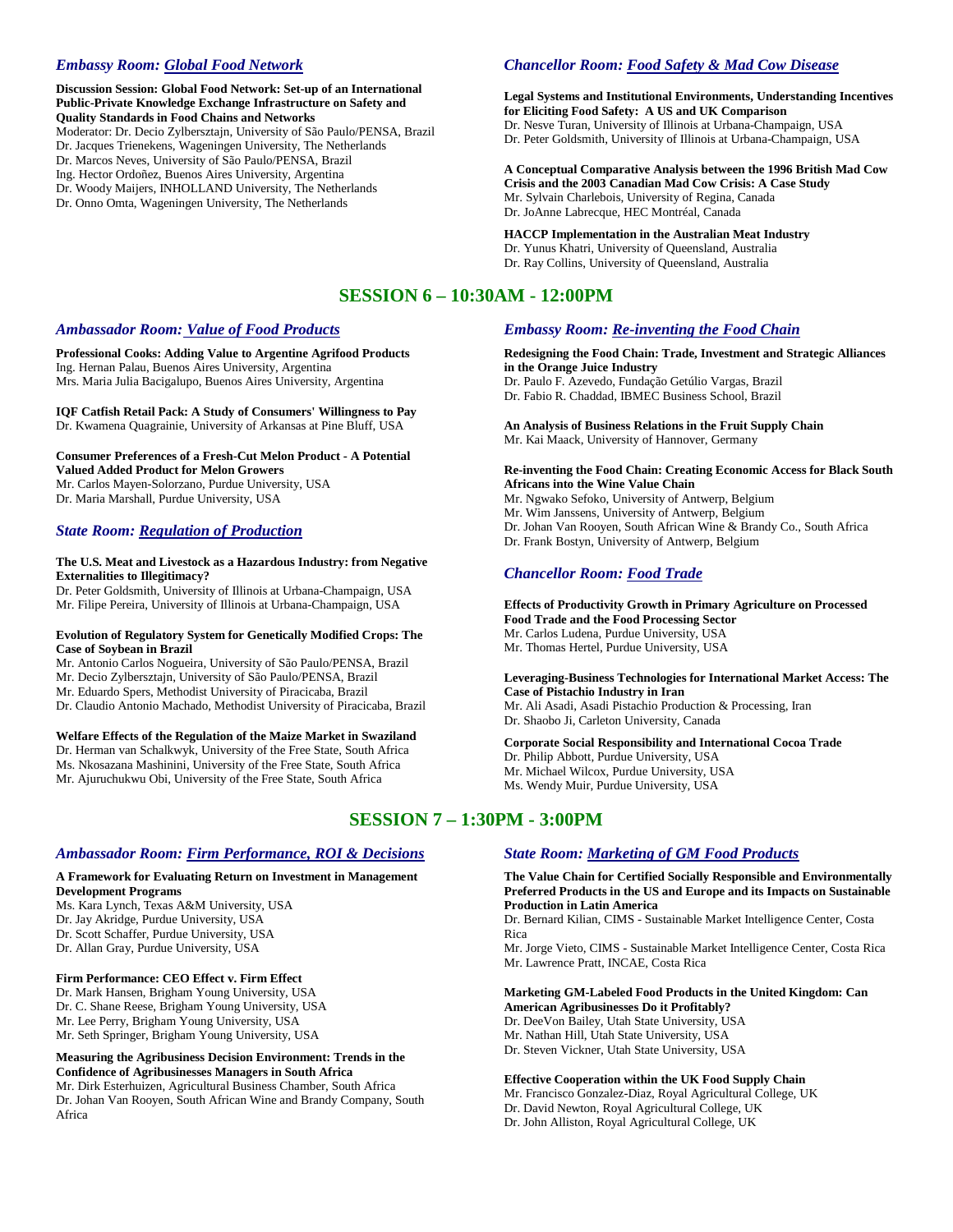# *Embassy Room: Global Food Network*

**Discussion Session: Global Food Network: Set-up of an International Public-Private Knowledge Exchange Infrastructure on Safety and Quality Standards in Food Chains and Networks** Moderator: Dr. Decio Zylbersztajn, University of São Paulo/PENSA, Brazil Dr. Jacques Trienekens, Wageningen University, The Netherlands Dr. Marcos Neves, University of São Paulo/PENSA, Brazil Ing. Hector Ordoñez, Buenos Aires University, Argentina Dr. Woody Maijers, INHOLLAND University, The Netherlands

Dr. Onno Omta, Wageningen University, The Netherlands

# *Chancellor Room: Food Safety & Mad Cow Disease*

**Legal Systems and Institutional Environments, Understanding Incentives for Eliciting Food Safety: A US and UK Comparison** Dr. Nesve Turan, University of Illinois at Urbana-Champaign, USA Dr. Peter Goldsmith, University of Illinois at Urbana-Champaign, USA

**A Conceptual Comparative Analysis between the 1996 British Mad Cow Crisis and the 2003 Canadian Mad Cow Crisis: A Case Study** Mr. Sylvain Charlebois, University of Regina, Canada Dr. JoAnne Labrecque, HEC Montréal, Canada

**HACCP Implementation in the Australian Meat Industry** Dr. Yunus Khatri, University of Queensland, Australia Dr. Ray Collins, University of Queensland, Australia

# **SESSION 6 – 10:30AM - 12:00PM**

# *Ambassador Room: Value of Food Products*

**Professional Cooks: Adding Value to Argentine Agrifood Products** Ing. Hernan Palau, Buenos Aires University, Argentina Mrs. Maria Julia Bacigalupo, Buenos Aires University, Argentina

**IQF Catfish Retail Pack: A Study of Consumers' Willingness to Pay** Dr. Kwamena Quagrainie, University of Arkansas at Pine Bluff, USA

**Consumer Preferences of a Fresh-Cut Melon Product - A Potential Valued Added Product for Melon Growers** Mr. Carlos Mayen-Solorzano, Purdue University, USA Dr. Maria Marshall, Purdue University, USA

#### *State Room: Regulation of Production*

#### **The U.S. Meat and Livestock as a Hazardous Industry: from Negative Externalities to Illegitimacy?**

Dr. Peter Goldsmith, University of Illinois at Urbana-Champaign, USA Mr. Filipe Pereira, University of Illinois at Urbana-Champaign, USA

#### **Evolution of Regulatory System for Genetically Modified Crops: The Case of Soybean in Brazil**

Mr. Antonio Carlos Nogueira, University of São Paulo/PENSA, Brazil Mr. Decio Zylbersztajn, University of São Paulo/PENSA, Brazil Mr. Eduardo Spers, Methodist University of Piracicaba, Brazil Dr. Claudio Antonio Machado, Methodist University of Piracicaba, Brazil

#### **Welfare Effects of the Regulation of the Maize Market in Swaziland**

Dr. Herman van Schalkwyk, University of the Free State, South Africa Ms. Nkosazana Mashinini, University of the Free State, South Africa Mr. Ajuruchukwu Obi, University of the Free State, South Africa

# **SESSION 7 – 1:30PM - 3:00PM**

## *Ambassador Room: Firm Performance, ROI & Decisions*

#### **A Framework for Evaluating Return on Investment in Management Development Programs**

Ms. Kara Lynch, Texas A&M University, USA Dr. Jay Akridge, Purdue University, USA Dr. Scott Schaffer, Purdue University, USA Dr. Allan Gray, Purdue University, USA

#### **Firm Performance: CEO Effect v. Firm Effect**

Dr. Mark Hansen, Brigham Young University, USA Dr. C. Shane Reese, Brigham Young University, USA Mr. Lee Perry, Brigham Young University, USA Mr. Seth Springer, Brigham Young University, USA

#### **Measuring the Agribusiness Decision Environment: Trends in the Confidence of Agribusinesses Managers in South Africa**

Mr. Dirk Esterhuizen, Agricultural Business Chamber, South Africa Dr. Johan Van Rooyen, South African Wine and Brandy Company, South Africa

# *Embassy Room: Re-inventing the Food Chain*

**Redesigning the Food Chain: Trade, Investment and Strategic Alliances in the Orange Juice Industry**

Dr. Paulo F. Azevedo, Fundação Getúlio Vargas, Brazil

Dr. Fabio R. Chaddad, IBMEC Business School, Brazil

#### **An Analysis of Business Relations in the Fruit Supply Chain** Mr. Kai Maack, University of Hannover, Germany

#### **Re-inventing the Food Chain: Creating Economic Access for Black South Africans into the Wine Value Chain**

Mr. Ngwako Sefoko, University of Antwerp, Belgium Mr. Wim Janssens, University of Antwerp, Belgium Dr. Johan Van Rooyen, South African Wine & Brandy Co., South Africa Dr. Frank Bostyn, University of Antwerp, Belgium

# *Chancellor Room: Food Trade*

**Effects of Productivity Growth in Primary Agriculture on Processed Food Trade and the Food Processing Sector** Mr. Carlos Ludena, Purdue University, USA Mr. Thomas Hertel, Purdue University, USA

### **Leveraging-Business Technologies for International Market Access: The Case of Pistachio Industry in Iran**

Mr. Ali Asadi, Asadi Pistachio Production & Processing, Iran Dr. Shaobo Ji, Carleton University, Canada

**Corporate Social Responsibility and International Cocoa Trade** Dr. Philip Abbott, Purdue University, USA Mr. Michael Wilcox, Purdue University, USA Ms. Wendy Muir, Purdue University, USA

# *State Room: Marketing of GM Food Products*

**The Value Chain for Certified Socially Responsible and Environmentally Preferred Products in the US and Europe and its Impacts on Sustainable Production in Latin America**

Dr. Bernard Kilian, CIMS - Sustainable Market Intelligence Center, Costa Rica

Mr. Jorge Vieto, CIMS - Sustainable Market Intelligence Center, Costa Rica Mr. Lawrence Pratt, INCAE, Costa Rica

# **Marketing GM-Labeled Food Products in the United Kingdom: Can**

**American Agribusinesses Do it Profitably?** Dr. DeeVon Bailey, Utah State University, USA Mr. Nathan Hill, Utah State University, USA Dr. Steven Vickner, Utah State University, USA

#### **Effective Cooperation within the UK Food Supply Chain**

Mr. Francisco Gonzalez-Diaz, Royal Agricultural College, UK

Dr. David Newton, Royal Agricultural College, UK

Dr. John Alliston, Royal Agricultural College, UK